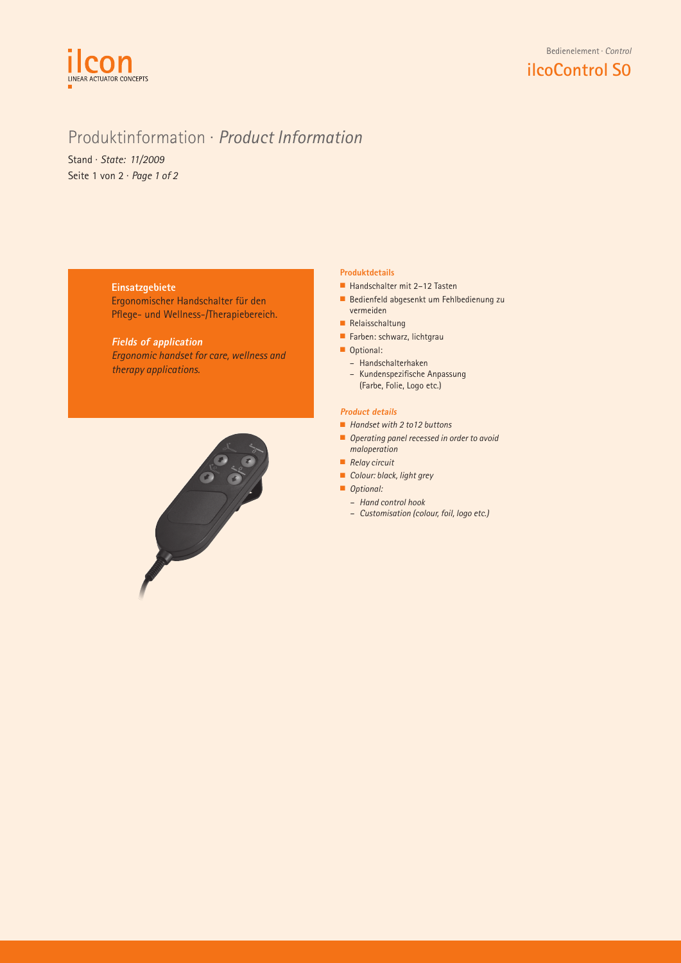

# Produktinformation · *Product Information*

Stand · *State: 11/2009* Seite 1 von 2 · *Page 1 of 2*

### **Einsatzgebiete**

Ergonomischer Handschalter für den Pflege- und Wellness-/Therapiebereich.

**Fields of application** *Ergonomic handset for care, wellness and therapy applications.*



### **Produktdetails**

- $\blacksquare$  Handschalter mit 2–12 Tasten
- n Bedienfeld abgesenkt um Fehlbedienung zu vermeiden
- $\blacksquare$  Relaisschaltung
- $\blacksquare$  Farben: schwarz, lichtgrau
- Optional:
	- Handschalterhaken
	- Kundenspezifische Anpassung (Farbe, Folie, Logo etc.)

### **Product details**

- Handset with 2 to 12 buttons
- n *Operating panel recessed in order to avoid maloperation*
- *Relay circuit*
- *Colour: black, light grey*
- **n** *Optional:* 
	- *– Hand control hook*
	- *– Customisation (colour, foil, logo etc.)*